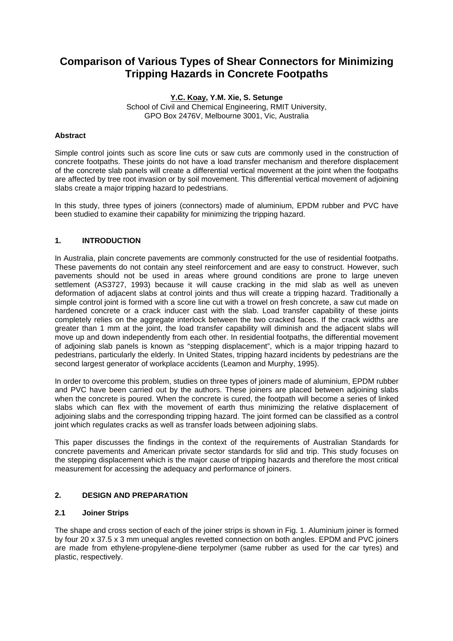# **Comparison of Various Types of Shear Connectors for Minimizing Tripping Hazards in Concrete Footpaths**

**Y.C. Koay, Y.M. Xie, S. Setunge**  School of Civil and Chemical Engineering, RMIT University, GPO Box 2476V, Melbourne 3001, Vic, Australia

## **Abstract**

Simple control joints such as score line cuts or saw cuts are commonly used in the construction of concrete footpaths. These joints do not have a load transfer mechanism and therefore displacement of the concrete slab panels will create a differential vertical movement at the joint when the footpaths are affected by tree root invasion or by soil movement. This differential vertical movement of adjoining slabs create a major tripping hazard to pedestrians.

In this study, three types of joiners (connectors) made of aluminium, EPDM rubber and PVC have been studied to examine their capability for minimizing the tripping hazard.

## **1. INTRODUCTION**

In Australia, plain concrete pavements are commonly constructed for the use of residential footpaths. These pavements do not contain any steel reinforcement and are easy to construct. However, such pavements should not be used in areas where ground conditions are prone to large uneven settlement (AS3727, 1993) because it will cause cracking in the mid slab as well as uneven deformation of adjacent slabs at control joints and thus will create a tripping hazard. Traditionally a simple control joint is formed with a score line cut with a trowel on fresh concrete, a saw cut made on hardened concrete or a crack inducer cast with the slab. Load transfer capability of these joints completely relies on the aggregate interlock between the two cracked faces. If the crack widths are greater than 1 mm at the joint, the load transfer capability will diminish and the adjacent slabs will move up and down independently from each other. In residential footpaths, the differential movement of adjoining slab panels is known as "stepping displacement", which is a major tripping hazard to pedestrians, particularly the elderly. In United States, tripping hazard incidents by pedestrians are the second largest generator of workplace accidents (Leamon and Murphy, 1995).

In order to overcome this problem, studies on three types of joiners made of aluminium, EPDM rubber and PVC have been carried out by the authors. These joiners are placed between adjoining slabs when the concrete is poured. When the concrete is cured, the footpath will become a series of linked slabs which can flex with the movement of earth thus minimizing the relative displacement of adjoining slabs and the corresponding tripping hazard. The joint formed can be classified as a control joint which regulates cracks as well as transfer loads between adjoining slabs.

This paper discusses the findings in the context of the requirements of Australian Standards for concrete pavements and American private sector standards for slid and trip. This study focuses on the stepping displacement which is the major cause of tripping hazards and therefore the most critical measurement for accessing the adequacy and performance of joiners.

## **2. DESIGN AND PREPARATION**

## **2.1 Joiner Strips**

The shape and cross section of each of the joiner strips is shown in Fig. 1. Aluminium joiner is formed by four 20 x 37.5 x 3 mm unequal angles revetted connection on both angles. EPDM and PVC joiners are made from ethylene-propylene-diene terpolymer (same rubber as used for the car tyres) and plastic, respectively.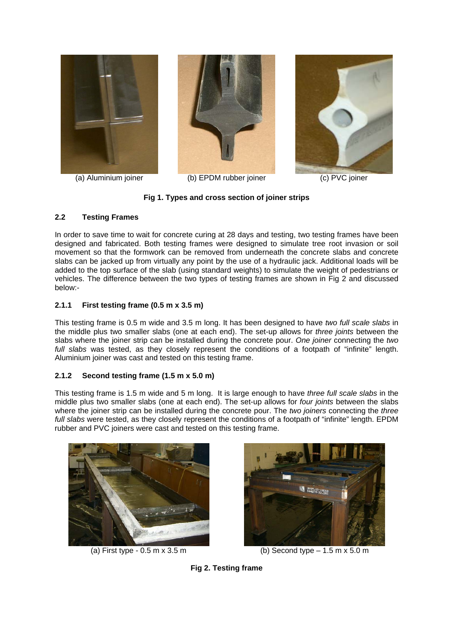



(a) Aluminium joiner (b) EPDM rubber joiner (c) PVC joiner



## **Fig 1. Types and cross section of joiner strips**

## **2.2 Testing Frames**

In order to save time to wait for concrete curing at 28 days and testing, two testing frames have been designed and fabricated. Both testing frames were designed to simulate tree root invasion or soil movement so that the formwork can be removed from underneath the concrete slabs and concrete slabs can be jacked up from virtually any point by the use of a hydraulic jack. Additional loads will be added to the top surface of the slab (using standard weights) to simulate the weight of pedestrians or vehicles. The difference between the two types of testing frames are shown in Fig 2 and discussed below:-

## **2.1.1 First testing frame (0.5 m x 3.5 m)**

This testing frame is 0.5 m wide and 3.5 m long. It has been designed to have *two full scale slabs* in the middle plus two smaller slabs (one at each end). The set-up allows for *three joints* between the slabs where the joiner strip can be installed during the concrete pour. *One joiner* connecting the *two full slabs* was tested, as they closely represent the conditions of a footpath of "infinite" length. Aluminium joiner was cast and tested on this testing frame.

## **2.1.2 Second testing frame (1.5 m x 5.0 m)**

This testing frame is 1.5 m wide and 5 m long. It is large enough to have *three full scale slabs* in the middle plus two smaller slabs (one at each end). The set-up allows for *four joints* between the slabs where the joiner strip can be installed during the concrete pour. The *two joiners* connecting the *three full slabs* were tested, as they closely represent the conditions of a footpath of "infinite" length. EPDM rubber and PVC joiners were cast and tested on this testing frame.





(a) First type -  $0.5 \text{ m} \times 3.5 \text{ m}$  (b) Second type  $-1.5 \text{ m} \times 5.0 \text{ m}$ 

**Fig 2. Testing frame**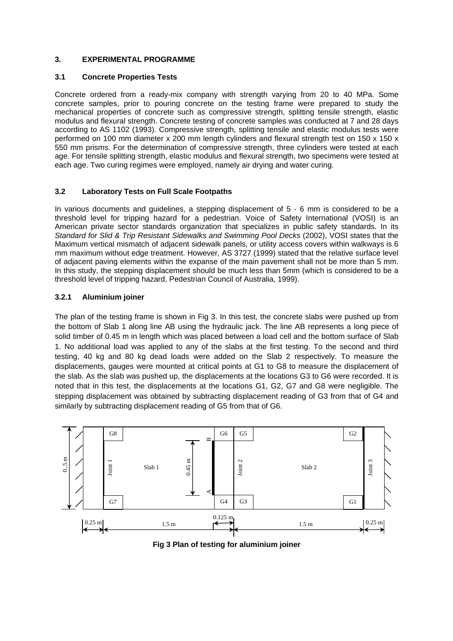## **3. EXPERIMENTAL PROGRAMME**

#### **3.1 Concrete Properties Tests**

Concrete ordered from a ready-mix company with strength varying from 20 to 40 MPa. Some concrete samples, prior to pouring concrete on the testing frame were prepared to study the mechanical properties of concrete such as compressive strength, splitting tensile strength, elastic modulus and flexural strength. Concrete testing of concrete samples was conducted at 7 and 28 days according to AS 1102 (1993). Compressive strength, splitting tensile and elastic modulus tests were performed on 100 mm diameter x 200 mm length cylinders and flexural strength test on 150 x 150 x 550 mm prisms. For the determination of compressive strength, three cylinders were tested at each age. For tensile splitting strength, elastic modulus and flexural strength, two specimens were tested at each age. Two curing regimes were employed, namely air drying and water curing.

## **3.2 Laboratory Tests on Full Scale Footpaths**

In various documents and quidelines, a stepping displacement of 5 - 6 mm is considered to be a threshold level for tripping hazard for a pedestrian. Voice of Safety International (VOSI) is an American private sector standards organization that specializes in public safety standards. In its *Standard for Slid & Trip Resistant Sidewalks and Swimming Pool Decks* (2002), VOSI states that the Maximum vertical mismatch of adjacent sidewalk panels, or utility access covers within walkways is 6 mm maximum without edge treatment. However, AS 3727 (1999) stated that the relative surface level of adjacent paving elements within the expanse of the main pavement shall not be more than 5 mm. In this study, the stepping displacement should be much less than 5mm (which is considered to be a threshold level of tripping hazard, Pedestrian Council of Australia, 1999).

## **3.2.1 Aluminium joiner**

The plan of the testing frame is shown in Fig 3. In this test, the concrete slabs were pushed up from the bottom of Slab 1 along line AB using the hydraulic jack. The line AB represents a long piece of solid timber of 0.45 m in length which was placed between a load cell and the bottom surface of Slab 1. No additional load was applied to any of the slabs at the first testing. To the second and third testing, 40 kg and 80 kg dead loads were added on the Slab 2 respectively. To measure the displacements, gauges were mounted at critical points at G1 to G8 to measure the displacement of the slab. As the slab was pushed up, the displacements at the locations G3 to G6 were recorded. It is noted that in this test, the displacements at the locations G1, G2, G7 and G8 were negligible. The stepping displacement was obtained by subtracting displacement reading of G3 from that of G4 and similarly by subtracting displacement reading of G5 from that of G6.



**Fig 3 Plan of testing for aluminium joiner**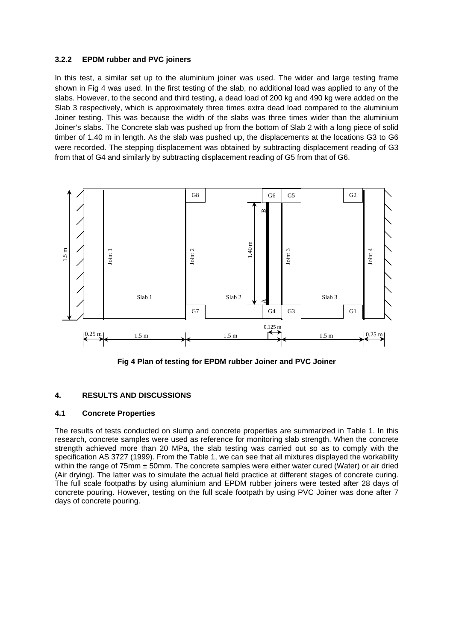#### **3.2.2 EPDM rubber and PVC joiners**

In this test, a similar set up to the aluminium joiner was used. The wider and large testing frame shown in Fig 4 was used. In the first testing of the slab, no additional load was applied to any of the slabs. However, to the second and third testing, a dead load of 200 kg and 490 kg were added on the Slab 3 respectively, which is approximately three times extra dead load compared to the aluminium Joiner testing. This was because the width of the slabs was three times wider than the aluminium Joiner's slabs. The Concrete slab was pushed up from the bottom of Slab 2 with a long piece of solid timber of 1.40 m in length. As the slab was pushed up, the displacements at the locations G3 to G6 were recorded. The stepping displacement was obtained by subtracting displacement reading of G3 from that of G4 and similarly by subtracting displacement reading of G5 from that of G6.



**Fig 4 Plan of testing for EPDM rubber Joiner and PVC Joiner** 

## **4. RESULTS AND DISCUSSIONS**

## **4.1 Concrete Properties**

The results of tests conducted on slump and concrete properties are summarized in Table 1. In this research, concrete samples were used as reference for monitoring slab strength. When the concrete strength achieved more than 20 MPa, the slab testing was carried out so as to comply with the specification AS 3727 (1999). From the Table 1, we can see that all mixtures displayed the workability within the range of 75mm  $\pm$  50mm. The concrete samples were either water cured (Water) or air dried (Air drying). The latter was to simulate the actual field practice at different stages of concrete curing. The full scale footpaths by using aluminium and EPDM rubber joiners were tested after 28 days of concrete pouring. However, testing on the full scale footpath by using PVC Joiner was done after 7 days of concrete pouring.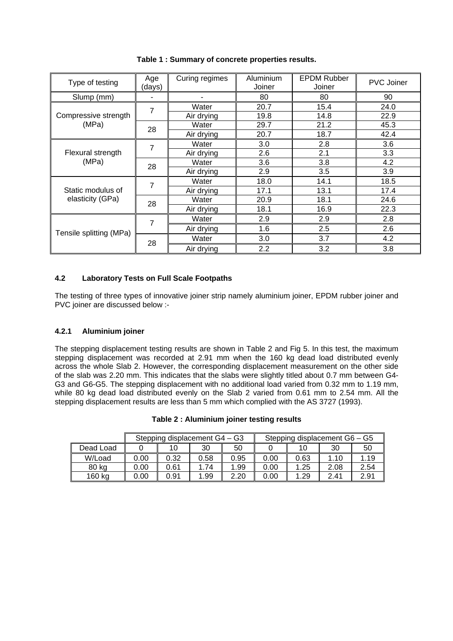| Type of testing                       | Age<br>(days) |            | Aluminium<br>Joiner | <b>EPDM Rubber</b><br>Joiner | PVC Joiner                                                                                            |  |  |  |
|---------------------------------------|---------------|------------|---------------------|------------------------------|-------------------------------------------------------------------------------------------------------|--|--|--|
| Slump (mm)                            | ۰             |            | 80                  | 80                           | 90                                                                                                    |  |  |  |
|                                       | 7             | Water      | 20.7                | 15.4                         | 24.0                                                                                                  |  |  |  |
| Compressive strength                  |               | Air drying | 19.8                | 14.8                         | 22.9<br>45.3<br>42.4<br>3.6<br>3.3<br>4.2<br>3.9<br>18.5<br>17.4<br>24.6<br>22.3<br>2.8<br>2.6<br>4.2 |  |  |  |
| (MPa)                                 | 28            | Water      | 29.7                | 21.2                         |                                                                                                       |  |  |  |
|                                       |               | Air drying | 20.7                | 18.7                         |                                                                                                       |  |  |  |
| Flexural strength<br>(MPa)            | 7             | Water      | 3.0                 | 2.8                          |                                                                                                       |  |  |  |
|                                       |               | Air drying | 2.6                 | 2.1                          |                                                                                                       |  |  |  |
|                                       | 28            | Water      | 3.6                 | 3.8                          |                                                                                                       |  |  |  |
|                                       |               | Air drying | 2.9                 | 3.5                          |                                                                                                       |  |  |  |
| Static modulus of<br>elasticity (GPa) | 7             | Water      | 18.0                | 14.1                         |                                                                                                       |  |  |  |
|                                       |               | Air drying | 17.1                | 13.1                         |                                                                                                       |  |  |  |
|                                       | 28            | Water      | 20.9                | 18.1                         |                                                                                                       |  |  |  |
|                                       |               | Air drying | 18.1                | 16.9                         |                                                                                                       |  |  |  |
| Tensile splitting (MPa)               | 7             | Water      | 2.9                 | 2.9                          |                                                                                                       |  |  |  |
|                                       |               | Air drying | 1.6                 | 2.5                          |                                                                                                       |  |  |  |
|                                       | 28            | Water      | 3.0                 | 3.7                          |                                                                                                       |  |  |  |
|                                       |               | Air drying | 2.2                 | 3.2                          | 3.8                                                                                                   |  |  |  |

**Table 1 : Summary of concrete properties results.** 

## **4.2 Laboratory Tests on Full Scale Footpaths**

The testing of three types of innovative joiner strip namely aluminium joiner, EPDM rubber joiner and PVC joiner are discussed below :-

## **4.2.1 Aluminium joiner**

The stepping displacement testing results are shown in Table 2 and Fig 5. In this test, the maximum stepping displacement was recorded at 2.91 mm when the 160 kg dead load distributed evenly across the whole Slab 2. However, the corresponding displacement measurement on the other side of the slab was 2.20 mm. This indicates that the slabs were slightly titled about 0.7 mm between G4- G3 and G6-G5. The stepping displacement with no additional load varied from 0.32 mm to 1.19 mm, while 80 kg dead load distributed evenly on the Slab 2 varied from 0.61 mm to 2.54 mm. All the stepping displacement results are less than 5 mm which complied with the AS 3727 (1993).

|           |      |      | Stepping displacement G4 - G3 |      | Stepping displacement $G6 - G5$ |      |      |      |
|-----------|------|------|-------------------------------|------|---------------------------------|------|------|------|
| Dead Load |      |      | 30                            | 50   |                                 |      | 30   | 50   |
| W/Load    | 0.00 | 0.32 | 0.58                          | 0.95 | 0.00                            | 0.63 | 1.10 | 1.19 |
| 80 kg     | 0.00 | 0.61 | 1.74                          | 1.99 | 0.00                            | 1.25 | 2.08 | 2.54 |
| 160 kg    | 0.00 | 0.91 | 1.99                          | 2.20 | 0.00                            | .29  | 2.41 | 2.91 |

**Table 2 : Aluminium joiner testing results**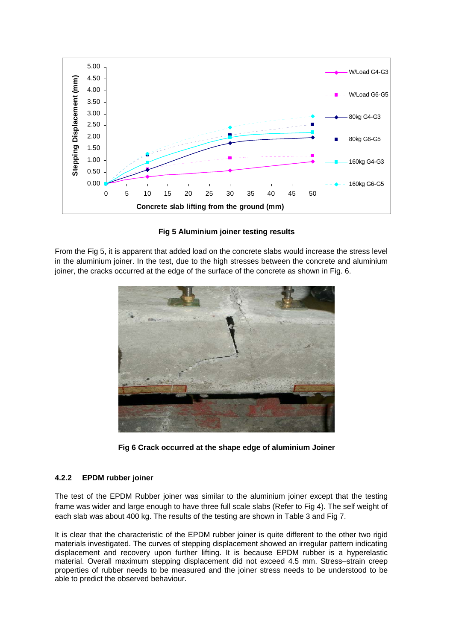

**Fig 5 Aluminium joiner testing results** 

From the Fig 5, it is apparent that added load on the concrete slabs would increase the stress level in the aluminium joiner. In the test, due to the high stresses between the concrete and aluminium joiner, the cracks occurred at the edge of the surface of the concrete as shown in Fig. 6.



**Fig 6 Crack occurred at the shape edge of aluminium Joiner** 

## **4.2.2 EPDM rubber joiner**

The test of the EPDM Rubber joiner was similar to the aluminium joiner except that the testing frame was wider and large enough to have three full scale slabs (Refer to Fig 4). The self weight of each slab was about 400 kg. The results of the testing are shown in Table 3 and Fig 7.

It is clear that the characteristic of the EPDM rubber joiner is quite different to the other two rigid materials investigated. The curves of stepping displacement showed an irregular pattern indicating displacement and recovery upon further lifting. It is because EPDM rubber is a hyperelastic material. Overall maximum stepping displacement did not exceed 4.5 mm. Stress–strain creep properties of rubber needs to be measured and the joiner stress needs to be understood to be able to predict the observed behaviour.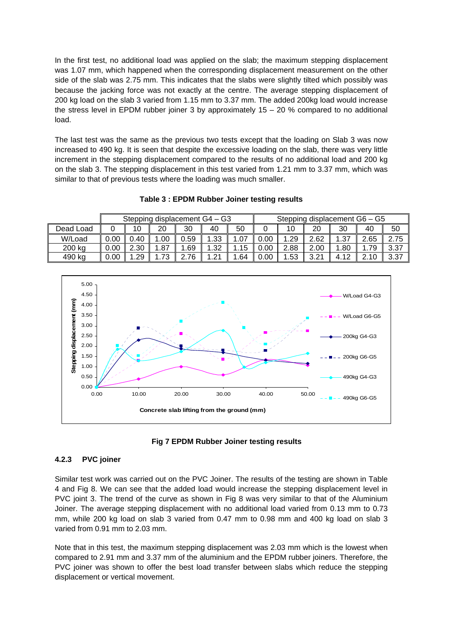In the first test, no additional load was applied on the slab; the maximum stepping displacement was 1.07 mm, which happened when the corresponding displacement measurement on the other side of the slab was 2.75 mm. This indicates that the slabs were slightly tilted which possibly was because the jacking force was not exactly at the centre. The average stepping displacement of 200 kg load on the slab 3 varied from 1.15 mm to 3.37 mm. The added 200kg load would increase the stress level in EPDM rubber joiner 3 by approximately  $15 - 20$  % compared to no additional load.

The last test was the same as the previous two tests except that the loading on Slab 3 was now increased to 490 kg. It is seen that despite the excessive loading on the slab, there was very little increment in the stepping displacement compared to the results of no additional load and 200 kg on the slab 3. The stepping displacement in this test varied from 1.21 mm to 3.37 mm, which was similar to that of previous tests where the loading was much smaller.

|           | Stepping displacement G4 - G3 |      |         |      |      |     | Stepping displacement G6 - G5 |      |      |      |       |      |
|-----------|-------------------------------|------|---------|------|------|-----|-------------------------------|------|------|------|-------|------|
| Dead Load |                               | 10   | 20      | 30   | 40   | 50  |                               | 10   | 20   | 30   | 40    | 50   |
| W/Load    | 0.00                          | 0.40 | .00.    | 0.59 | .33  | .07 | 0.00                          | .29  | 2.62 | .37  | 2.65  | 2.75 |
| 200 kg    | 0.00                          | 2.30 | .87     | .69  | 1.32 | 15  | 0.00                          | 2.88 | 2.00 | .80  | l.79  | 3.37 |
| 490 kg    | 0.00                          | .29  | 72<br>J | 76   | 1.21 | .64 | 0.00                          | .53  | 2.21 | 4.12 | ኃ 1 በ | 3.37 |

**Table 3 : EPDM Rubber Joiner testing results** 





# **4.2.3 PVC joiner**

Similar test work was carried out on the PVC Joiner. The results of the testing are shown in Table 4 and Fig 8. We can see that the added load would increase the stepping displacement level in PVC joint 3. The trend of the curve as shown in Fig 8 was very similar to that of the Aluminium Joiner. The average stepping displacement with no additional load varied from 0.13 mm to 0.73 mm, while 200 kg load on slab 3 varied from 0.47 mm to 0.98 mm and 400 kg load on slab 3 varied from 0.91 mm to 2.03 mm.

Note that in this test, the maximum stepping displacement was 2.03 mm which is the lowest when compared to 2.91 mm and 3.37 mm of the aluminium and the EPDM rubber joiners. Therefore, the PVC joiner was shown to offer the best load transfer between slabs which reduce the stepping displacement or vertical movement.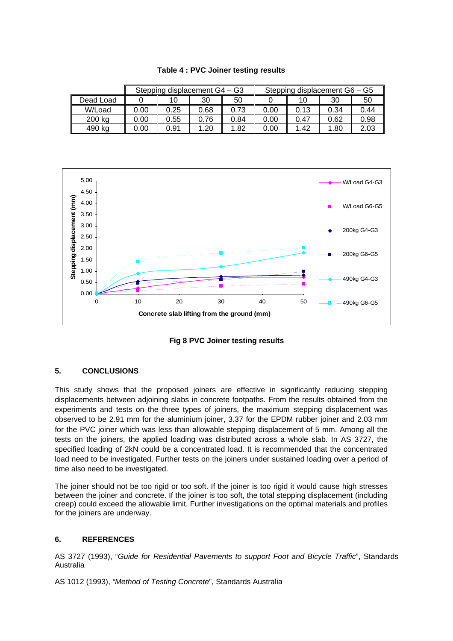|           |      | Stepping displacement G4 - G3 |      |      | Stepping displacement G6 - G5 |      |      |      |  |
|-----------|------|-------------------------------|------|------|-------------------------------|------|------|------|--|
| Dead Load |      | 10                            | 30   | 50   |                               | 10   | 30   | 50   |  |
| W/Load    | 0.00 | 0.25                          | 0.68 | 0.73 | 0.00                          | 0.13 | 0.34 | 0.44 |  |
| 200 kg    | 0.00 | 0.55                          | 0.76 | 0.84 | 0.00                          | 0.47 | 0.62 | 0.98 |  |
| 490 kg    | 0.00 | 0.91                          | 1.20 | 1.82 | 0.00                          | 1.42 | 1.80 | 2.03 |  |

**Table 4 : PVC Joiner testing results** 





## **5. CONCLUSIONS**

This study shows that the proposed joiners are effective in significantly reducing stepping displacements between adjoining slabs in concrete footpaths. From the results obtained from the experiments and tests on the three types of joiners, the maximum stepping displacement was observed to be 2.91 mm for the aluminium joiner, 3.37 for the EPDM rubber joiner and 2.03 mm for the PVC joiner which was less than allowable stepping displacement of 5 mm. Among all the tests on the joiners, the applied loading was distributed across a whole slab. In AS 3727, the specified loading of 2kN could be a concentrated load. It is recommended that the concentrated load need to be investigated. Further tests on the joiners under sustained loading over a period of time also need to be investigated.

The joiner should not be too rigid or too soft. If the joiner is too rigid it would cause high stresses between the joiner and concrete. If the joiner is too soft, the total stepping displacement (including creep) could exceed the allowable limit. Further investigations on the optimal materials and profiles for the joiners are underway.

## **6. REFERENCES**

AS 3727 (1993), "*Guide for Residential Pavements to support Foot and Bicycle Traffic*", Standards Australia

AS 1012 (1993), *"Method of Testing Concrete*", Standards Australia